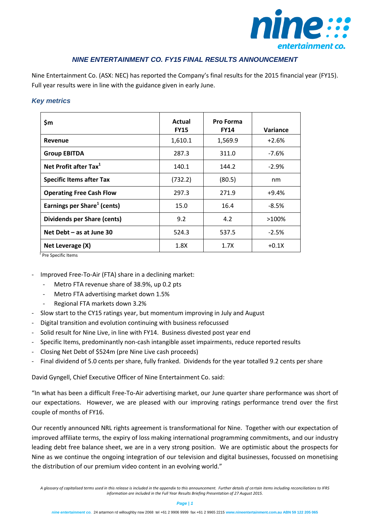

# *NINE ENTERTAINMENT CO. FY15 FINAL RESULTS ANNOUNCEMENT*

Nine Entertainment Co. (ASX: NEC) has reported the Company's final results for the 2015 financial year (FY15). Full year results were in line with the guidance given in early June.

#### *Key metrics*

| \$m                                     | Actual<br><b>FY15</b> | <b>Pro Forma</b><br><b>FY14</b> | Variance |
|-----------------------------------------|-----------------------|---------------------------------|----------|
| Revenue                                 | 1,610.1               | 1,569.9                         | $+2.6%$  |
| <b>Group EBITDA</b>                     | 287.3                 | 311.0                           | $-7.6%$  |
| Net Profit after Tax <sup>1</sup>       | 140.1                 | 144.2                           | $-2.9%$  |
| <b>Specific Items after Tax</b>         | (732.2)               | (80.5)                          | nm       |
| <b>Operating Free Cash Flow</b>         | 297.3                 | 271.9                           | $+9.4%$  |
| Earnings per Share <sup>1</sup> (cents) | 15.0                  | 16.4                            | $-8.5%$  |
| Dividends per Share (cents)             | 9.2                   | 4.2                             | $>100\%$ |
| Net Debt - as at June 30                | 524.3                 | 537.5                           | $-2.5%$  |
| Net Leverage (X)                        | 1.8X                  | 1.7X                            | $+0.1X$  |

<sup>1</sup> Pre Specific Items

- Improved Free-To-Air (FTA) share in a declining market:
	- Metro FTA revenue share of 38.9%, up 0.2 pts
	- Metro FTA advertising market down 1.5%
	- Regional FTA markets down 3.2%
- Slow start to the CY15 ratings year, but momentum improving in July and August
- Digital transition and evolution continuing with business refocussed
- Solid result for Nine Live, in line with FY14. Business divested post year end
- Specific Items, predominantly non-cash intangible asset impairments, reduce reported results
- Closing Net Debt of \$524m (pre Nine Live cash proceeds)
- Final dividend of 5.0 cents per share, fully franked. Dividends for the year totalled 9.2 cents per share

David Gyngell, Chief Executive Officer of Nine Entertainment Co. said:

"In what has been a difficult Free-To-Air advertising market, our June quarter share performance was short of our expectations. However, we are pleased with our improving ratings performance trend over the first couple of months of FY16.

Our recently announced NRL rights agreement is transformational for Nine. Together with our expectation of improved affiliate terms, the expiry of loss making international programming commitments, and our industry leading debt free balance sheet, we are in a very strong position. We are optimistic about the prospects for Nine as we continue the ongoing integration of our television and digital businesses, focussed on monetising the distribution of our premium video content in an evolving world."

*A glossary of capitalised terms used in this release is included in the appendix to this announcement. Further details of certain items including reconciliations to IFRS information are included in the Full Year Results Briefing Presentation of 27 August 2015.*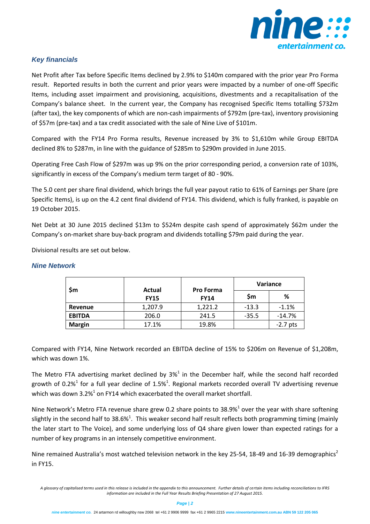

## *Key financials*

Net Profit after Tax before Specific Items declined by 2.9% to \$140m compared with the prior year Pro Forma result. Reported results in both the current and prior years were impacted by a number of one-off Specific Items, including asset impairment and provisioning, acquisitions, divestments and a recapitalisation of the Company's balance sheet. In the current year, the Company has recognised Specific Items totalling \$732m (after tax), the key components of which are non-cash impairments of \$792m (pre-tax), inventory provisioning of \$57m (pre-tax) and a tax credit associated with the sale of Nine Live of \$101m.

Compared with the FY14 Pro Forma results, Revenue increased by 3% to \$1,610m while Group EBITDA declined 8% to \$287m, in line with the guidance of \$285m to \$290m provided in June 2015.

Operating Free Cash Flow of \$297m was up 9% on the prior corresponding period, a conversion rate of 103%, significantly in excess of the Company's medium term target of 80 - 90%.

The 5.0 cent per share final dividend, which brings the full year payout ratio to 61% of Earnings per Share (pre Specific Items), is up on the 4.2 cent final dividend of FY14. This dividend, which is fully franked, is payable on 19 October 2015.

Net Debt at 30 June 2015 declined \$13m to \$524m despite cash spend of approximately \$62m under the Company's on-market share buy-back program and dividends totalling \$79m paid during the year.

Divisional results are set out below.

| \$m           | Actual<br><b>FY15</b> | <b>Pro Forma</b><br><b>FY14</b> | <b>Variance</b> |            |
|---------------|-----------------------|---------------------------------|-----------------|------------|
|               |                       |                                 | Sm              | %          |
| Revenue       | 1,207.9               | 1,221.2                         | $-13.3$         | $-1.1%$    |
| <b>EBITDA</b> | 206.0                 | 241.5                           | $-35.5$         | $-14.7%$   |
| <b>Margin</b> | 17.1%                 | 19.8%                           |                 | $-2.7$ pts |

### *Nine Network*

Compared with FY14, Nine Network recorded an EBITDA decline of 15% to \$206m on Revenue of \$1,208m, which was down 1%.

The Metro FTA advertising market declined by  $3\%$ <sup>1</sup> in the December half, while the second half recorded growth of 0.2%<sup>1</sup> for a full year decline of 1.5%<sup>1</sup>. Regional markets recorded overall TV advertising revenue which was down 3.2%<sup>1</sup> on FY14 which exacerbated the overall market shortfall.

Nine Network's Metro FTA revenue share grew 0.2 share points to 38.9%<sup>1</sup> over the year with share softening slightly in the second half to 38.6%<sup>1</sup>. This weaker second half result reflects both programming timing (mainly the later start to The Voice), and some underlying loss of Q4 share given lower than expected ratings for a number of key programs in an intensely competitive environment.

Nine remained Australia's most watched television network in the key 25-54, 18-49 and 16-39 demographics<sup>2</sup> in FY15.

*A glossary of capitalised terms used in this release is included in the appendix to this announcement. Further details of certain items including reconciliations to IFRS information are included in the Full Year Results Briefing Presentation of 27 August 2015.*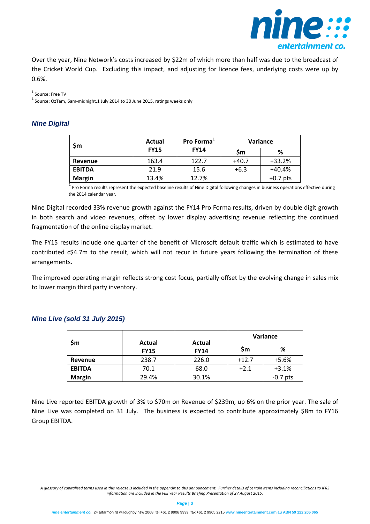

Over the year, Nine Network's costs increased by \$22m of which more than half was due to the broadcast of the Cricket World Cup. Excluding this impact, and adjusting for licence fees, underlying costs were up by 0.6%.

<sup>1</sup> Source: Free TV

<sup>2</sup> Source: OzTam, 6am-midnight,1 July 2014 to 30 June 2015, ratings weeks only

### *Nine Digital*

| \$m           | <b>Actual</b><br><b>FY15</b> | Pro Forma <sup>+</sup><br><b>FY14</b> | <b>Variance</b> |            |
|---------------|------------------------------|---------------------------------------|-----------------|------------|
|               |                              |                                       | Sm              | %          |
| Revenue       | 163.4                        | 122.7                                 | $+40.7$         | $+33.2%$   |
| <b>EBITDA</b> | 21.9                         | 15.6                                  | $+6.3$          | $+40.4%$   |
| <b>Margin</b> | 13.4%                        | 12.7%                                 |                 | $+0.7$ pts |

1 Pro Forma results represent the expected baseline results of Nine Digital following changes in business operations effective during the 2014 calendar year.

Nine Digital recorded 33% revenue growth against the FY14 Pro Forma results, driven by double digit growth in both search and video revenues, offset by lower display advertising revenue reflecting the continued fragmentation of the online display market.

The FY15 results include one quarter of the benefit of Microsoft default traffic which is estimated to have contributed c\$4.7m to the result, which will not recur in future years following the termination of these arrangements.

The improved operating margin reflects strong cost focus, partially offset by the evolving change in sales mix to lower margin third party inventory.

### *Nine Live (sold 31 July 2015)*

|               | Actual<br><b>FY15</b> | Actual<br><b>FY14</b> | Variance |            |
|---------------|-----------------------|-----------------------|----------|------------|
| \$m           |                       |                       | \$m      | %          |
| Revenue       | 238.7                 | 226.0                 | $+12.7$  | $+5.6%$    |
| <b>EBITDA</b> | 70.1                  | 68.0                  | $+2.1$   | $+3.1%$    |
| <b>Margin</b> | 29.4%                 | 30.1%                 |          | $-0.7$ pts |

Nine Live reported EBITDA growth of 3% to \$70m on Revenue of \$239m, up 6% on the prior year. The sale of Nine Live was completed on 31 July. The business is expected to contribute approximately \$8m to FY16 Group EBITDA.

*A glossary of capitalised terms used in this release is included in the appendix to this announcement. Further details of certain items including reconciliations to IFRS information are included in the Full Year Results Briefing Presentation of 27 August 2015.*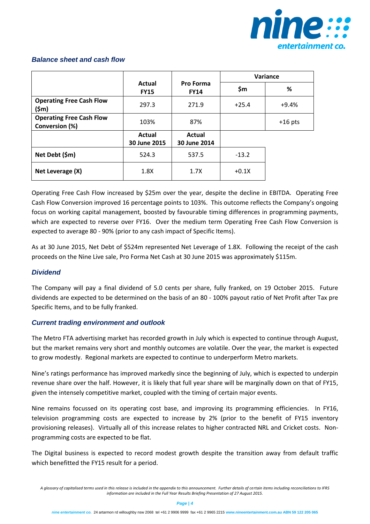

|                                                   |                        | Variance                      |         |           |
|---------------------------------------------------|------------------------|-------------------------------|---------|-----------|
|                                                   | Actual<br><b>FY15</b>  | Pro Forma<br><b>FY14</b>      | \$m     | %         |
| <b>Operating Free Cash Flow</b><br>$(\$m)$        | 297.3                  | 271.9                         | $+25.4$ | $+9.4%$   |
| <b>Operating Free Cash Flow</b><br>Conversion (%) | 103%                   | 87%                           |         | $+16$ pts |
|                                                   | Actual<br>30 June 2015 | <b>Actual</b><br>30 June 2014 |         |           |
| Net Debt (\$m)                                    | 524.3                  | 537.5                         | $-13.2$ |           |
| Net Leverage (X)                                  | 1.8X                   | 1.7X                          | $+0.1X$ |           |

### *Balance sheet and cash flow*

Operating Free Cash Flow increased by \$25m over the year, despite the decline in EBITDA. Operating Free Cash Flow Conversion improved 16 percentage points to 103%. This outcome reflects the Company's ongoing focus on working capital management, boosted by favourable timing differences in programming payments, which are expected to reverse over FY16. Over the medium term Operating Free Cash Flow Conversion is expected to average 80 - 90% (prior to any cash impact of Specific Items).

As at 30 June 2015, Net Debt of \$524m represented Net Leverage of 1.8X. Following the receipt of the cash proceeds on the Nine Live sale, Pro Forma Net Cash at 30 June 2015 was approximately \$115m.

### *Dividend*

The Company will pay a final dividend of 5.0 cents per share, fully franked, on 19 October 2015. Future dividends are expected to be determined on the basis of an 80 - 100% payout ratio of Net Profit after Tax pre Specific Items, and to be fully franked.

### *Current trading environment and outlook*

The Metro FTA advertising market has recorded growth in July which is expected to continue through August, but the market remains very short and monthly outcomes are volatile. Over the year, the market is expected to grow modestly. Regional markets are expected to continue to underperform Metro markets.

Nine's ratings performance has improved markedly since the beginning of July, which is expected to underpin revenue share over the half. However, it is likely that full year share will be marginally down on that of FY15, given the intensely competitive market, coupled with the timing of certain major events.

Nine remains focussed on its operating cost base, and improving its programming efficiencies. In FY16, television programming costs are expected to increase by 2% (prior to the benefit of FY15 inventory provisioning releases). Virtually all of this increase relates to higher contracted NRL and Cricket costs. Nonprogramming costs are expected to be flat.

The Digital business is expected to record modest growth despite the transition away from default traffic which benefitted the FY15 result for a period.

*A glossary of capitalised terms used in this release is included in the appendix to this announcement. Further details of certain items including reconciliations to IFRS information are included in the Full Year Results Briefing Presentation of 27 August 2015.*